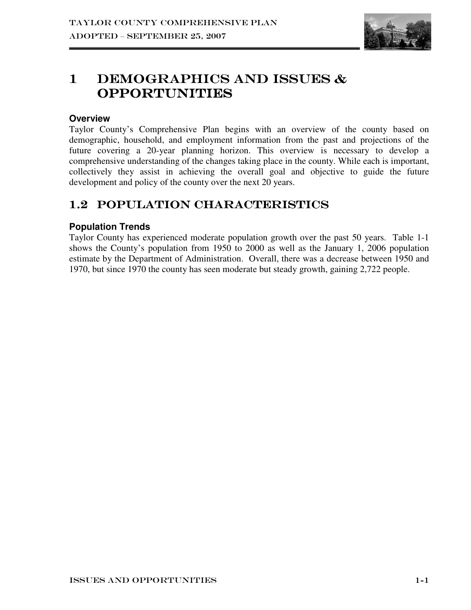

# 1 DEMOGRAPHICS AND ISSUES  $\&$ Opportunities Opportunities

# **Overview**

Taylor County's Comprehensive Plan begins with an overview of the county based on demographic, household, and employment information from the past and projections of the future covering a 20-year planning horizon. This overview is necessary to develop a comprehensive understanding of the changes taking place in the county. While each is important, collectively they assist in achieving the overall goal and objective to guide the future development and policy of the county over the next 20 years.

# 1.2 POPULATION CHARACTERISTICS

# **Population Trends**

Taylor County has experienced moderate population growth over the past 50 years. Table 1-1 shows the County's population from 1950 to 2000 as well as the January 1, 2006 population estimate by the Department of Administration. Overall, there was a decrease between 1950 and 1970, but since 1970 the county has seen moderate but steady growth, gaining 2,722 people.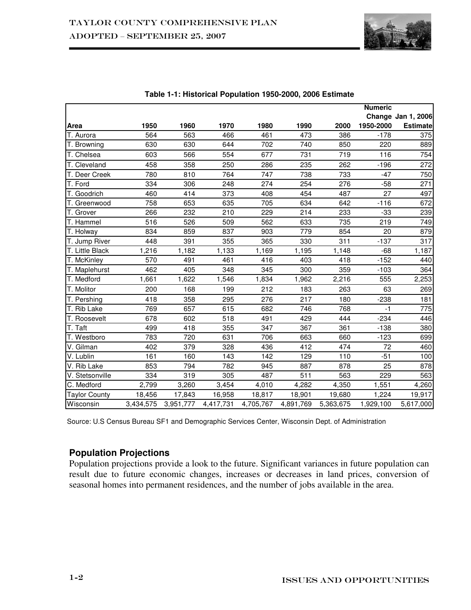

|                      |           |           |           |           |           |           | <b>Numeric</b> |                           |
|----------------------|-----------|-----------|-----------|-----------|-----------|-----------|----------------|---------------------------|
|                      |           |           |           |           |           |           |                | <b>Change Jan 1, 2006</b> |
| Area                 | 1950      | 1960      | 1970      | 1980      | 1990      | 2000      | 1950-2000      | <b>Estimate</b>           |
| T. Aurora            | 564       | 563       | 466       | 461       | 473       | 386       | $-178$         | 375                       |
| T. Browning          | 630       | 630       | 644       | 702       | 740       | 850       | 220            | 889                       |
| T. Chelsea           | 603       | 566       | 554       | 677       | 731       | 719       | 116            | 754                       |
| T. Cleveland         | 458       | 358       | 250       | 286       | 235       | 262       | $-196$         | 272                       |
| T. Deer Creek        | 780       | 810       | 764       | 747       | 738       | 733       | $-47$          | 750                       |
| T. Ford              | 334       | 306       | 248       | 274       | 254       | 276       | $-58$          | 271                       |
| T. Goodrich          | 460       | 414       | 373       | 408       | 454       | 487       | 27             | 497                       |
| T. Greenwood         | 758       | 653       | 635       | 705       | 634       | 642       | $-116$         | 672                       |
| T. Grover            | 266       | 232       | 210       | 229       | 214       | 233       | $-33$          | 239                       |
| T. Hammel            | 516       | 526       | 509       | 562       | 633       | 735       | 219            | 749                       |
| T. Holway            | 834       | 859       | 837       | 903       | 779       | 854       | 20             | 879                       |
| T. Jump River        | 448       | 391       | 355       | 365       | 330       | 311       | $-137$         | 317                       |
| T. Little Black      | 1,216     | 1,182     | 1,133     | 1,169     | 1,195     | 1,148     | $-68$          | 1,187                     |
| T. McKinley          | 570       | 491       | 461       | 416       | 403       | 418       | $-152$         | 440                       |
| T. Maplehurst        | 462       | 405       | 348       | 345       | 300       | 359       | $-103$         | 364                       |
| T. Medford           | 1,661     | 1,622     | 1,546     | 1,834     | 1,962     | 2,216     | 555            | 2,253                     |
| T. Molitor           | 200       | 168       | 199       | 212       | 183       | 263       | 63             | 269                       |
| T. Pershing          | 418       | 358       | 295       | 276       | 217       | 180       | $-238$         | 181                       |
| T. Rib Lake          | 769       | 657       | 615       | 682       | 746       | 768       | $-1$           | 775                       |
| T. Roosevelt         | 678       | 602       | 518       | 491       | 429       | 444       | $-234$         | 446                       |
| T. Taft              | 499       | 418       | 355       | 347       | 367       | 361       | $-138$         | 380                       |
| T. Westboro          | 783       | 720       | 631       | 706       | 663       | 660       | $-123$         | 699                       |
| V. Gilman            | 402       | 379       | 328       | 436       | 412       | 474       | 72             | 460                       |
| V. Lublin            | 161       | 160       | 143       | 142       | 129       | 110       | $-51$          | 100                       |
| V. Rib Lake          | 853       | 794       | 782       | 945       | 887       | 878       | 25             | 878                       |
| V. Stetsonville      | 334       | 319       | 305       | 487       | 511       | 563       | 229            | 563                       |
| C. Medford           | 2,799     | 3,260     | 3,454     | 4,010     | 4,282     | 4,350     | 1,551          | 4,260                     |
| <b>Taylor County</b> | 18,456    | 17,843    | 16,958    | 18,817    | 18,901    | 19,680    | 1,224          | 19,917                    |
| Wisconsin            | 3,434,575 | 3,951,777 | 4,417,731 | 4,705,767 | 4,891,769 | 5,363,675 | 1,929,100      | 5,617,000                 |

#### **Table 1-1: Historical Population 1950-2000, 2006 Estimate**

Source: U.S Census Bureau SF1 and Demographic Services Center, Wisconsin Dept. of Administration

# **Population Projections**

Population projections provide a look to the future. Significant variances in future population can result due to future economic changes, increases or decreases in land prices, conversion of seasonal homes into permanent residences, and the number of jobs available in the area.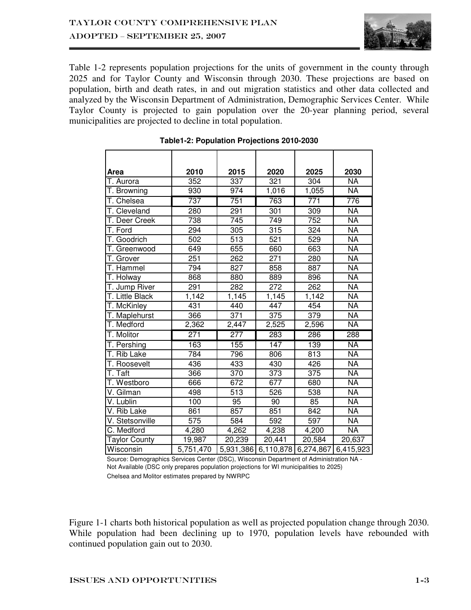

Table 1-2 represents population projections for the units of government in the county through 2025 and for Taylor County and Wisconsin through 2030. These projections are based on population, birth and death rates, in and out migration statistics and other data collected and analyzed by the Wisconsin Department of Administration, Demographic Services Center. While Taylor County is projected to gain population over the 20-year planning period, several municipalities are projected to decline in total population.

| Area                      | 2010             | 2015             | 2020                | 2025             | 2030                     |
|---------------------------|------------------|------------------|---------------------|------------------|--------------------------|
| T. Aurora                 | 352              | 337              | 321                 | 304              | <b>NA</b>                |
| T. Browning               | 930              | 974              | 1,016               | 1,055            | $\overline{\mathsf{NA}}$ |
| T. Chelsea                | 737              | 751              | 763                 | 771              | 776                      |
| T. Cleveland              | 280              | 291              | 301                 | 309              | <b>NA</b>                |
| T. Deer Creek             | 738              | 745              | 749                 | 752              | <b>NA</b>                |
| T. Ford                   | 294              | 305              | 315                 | $\overline{3}24$ | <b>NA</b>                |
| T. Goodrich               | 502              | $\overline{513}$ | 521                 | 529              | $\overline{\mathsf{NA}}$ |
| T. Greenwood              | 649              | 655              | 660                 | 663              | <b>NA</b>                |
| T. Grover                 | 251              | 262              | 271                 | 280              | <b>NA</b>                |
| T. Hammel                 | 794              | 827              | 858                 | 887              | <b>NA</b>                |
| T. Holway                 | 868              | 880              | 889                 | 896              | <b>NA</b>                |
| T. Jump River             | 291              | 282              | $\overline{272}$    | 262              | $\overline{NA}$          |
| T. Little Black           | 1,142            | 1,145            | 1,145               | 1,142            | $\overline{NA}$          |
| T. McKinley               | 431              | 440              | 447                 | 454              | <b>NA</b>                |
| T. Maplehurst             | 366              | 371              | 375                 | 379              | $\overline{NA}$          |
| T. Medford                | 2,362            | 2,447            | 2,525               | 2,596            | <b>NA</b>                |
| T. Molitor                | $\overline{271}$ | $\overline{277}$ | 283                 | 286              | 288                      |
| T. Pershing               | 163              | 155              | 147                 | 139              | <b>NA</b>                |
| $\overline{T}$ . Rib Lake | 784              | 796              | 806                 | 813              | <b>NA</b>                |
| T. Roosevelt              | 436              | 433              | 430                 | 426              | $\overline{\mathsf{NA}}$ |
| T. Taft                   | 366              | 370              | 373                 | 375              | <b>NA</b>                |
| T. Westboro               | 666              | 672              | 677                 | 680              | <b>NA</b>                |
| V. Gilman                 | 498              | 513              | 526                 | 538              | $\overline{NA}$          |
| V. Lublin                 | 100              | 95               | 90                  | 85               | <b>NA</b>                |
| V. Rib Lake               | 861              | 857              | 851                 | 842              | $\overline{\mathsf{NA}}$ |
| V. Stetsonville           | 575              | 584              | 592                 | 597              | <b>NA</b>                |
| C. Medford                | 4,280            | 4,262            | 4,238               | 4,200            | <b>NA</b>                |
| <b>Taylor County</b>      | 19,987           | 20,239           | 20,441              | 20,584           | 20,637                   |
| Wisconsin                 | 5,751,470        | 5,931,386        | 6,110,878 6,274,867 |                  | 6,415,923                |

### **Table1-2: Population Projections 2010-2030**

Chelsea and Molitor estimates prepared by NWRPC Source: Demographics Services Center (DSC), Wisconsin Department of Administration NA - Not Available (DSC only prepares population projections for WI municipalities to 2025)

Figure 1-1 charts both historical population as well as projected population change through 2030. While population had been declining up to 1970, population levels have rebounded with continued population gain out to 2030.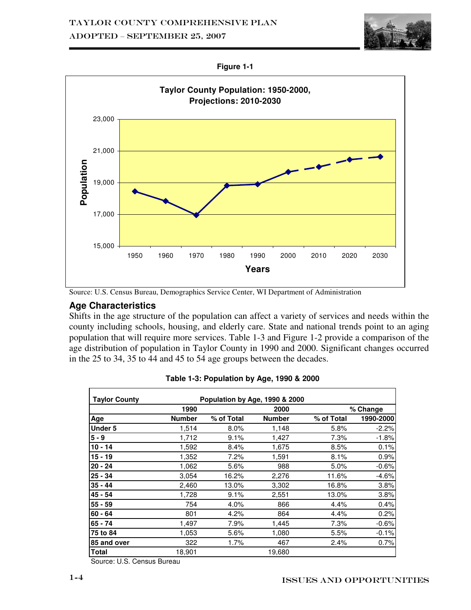

**Figure 1-1** 



Source: U.S. Census Bureau, Demographics Service Center, WI Department of Administration

## **Age Characteristics**

Shifts in the age structure of the population can affect a variety of services and needs within the county including schools, housing, and elderly care. State and national trends point to an aging population that will require more services. Table 1-3 and Figure 1-2 provide a comparison of the age distribution of population in Taylor County in 1990 and 2000. Significant changes occurred in the 25 to 34, 35 to 44 and 45 to 54 age groups between the decades.

| <b>Taylor County</b> |               | Population by Age, 1990 & 2000 |               |            |           |
|----------------------|---------------|--------------------------------|---------------|------------|-----------|
|                      | 1990          |                                | 2000          |            | % Change  |
| Age                  | <b>Number</b> | % of Total                     | <b>Number</b> | % of Total | 1990-2000 |
| Under 5              | 1,514         | 8.0%                           | 1,148         | 5.8%       | $-2.2%$   |
| 5 - 9                | 1,712         | 9.1%                           | 1,427         | 7.3%       | $-1.8%$   |
| 10 - 14              | 1,592         | 8.4%                           | 1,675         | 8.5%       | 0.1%      |
| 15 - 19              | 1,352         | 7.2%                           | 1,591         | 8.1%       | 0.9%      |
| 20 - 24              | 1,062         | 5.6%                           | 988           | 5.0%       | $-0.6%$   |
| 25 - 34              | 3,054         | 16.2%                          | 2,276         | 11.6%      | $-4.6%$   |
| 35 - 44              | 2,460         | 13.0%                          | 3,302         | 16.8%      | 3.8%      |
| 45 - 54              | 1,728         | 9.1%                           | 2,551         | 13.0%      | 3.8%      |
| 55 - 59              | 754           | 4.0%                           | 866           | 4.4%       | 0.4%      |
| 60 - 64              | 801           | 4.2%                           | 864           | 4.4%       | 0.2%      |
| 65 - 74              | 1,497         | 7.9%                           | 1,445         | 7.3%       | $-0.6%$   |
| 75 to 84             | 1,053         | 5.6%                           | 1,080         | 5.5%       | $-0.1%$   |
| 85 and over          | 322           | $1.7\%$                        | 467           | 2.4%       | 0.7%      |
| Total                | 18,901        |                                | 19,680        |            |           |

|  | Table 1-3: Population by Age, 1990 & 2000 |
|--|-------------------------------------------|
|  |                                           |

Source: U.S. Census Bureau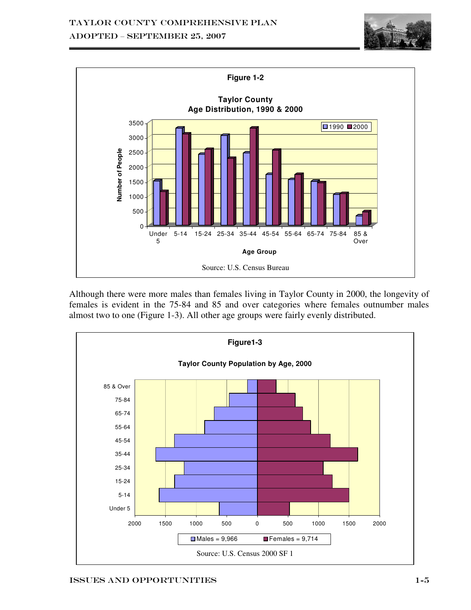



Although there were more males than females living in Taylor County in 2000, the longevity of females is evident in the 75-84 and 85 and over categories where females outnumber males almost two to one (Figure 1-3). All other age groups were fairly evenly distributed.

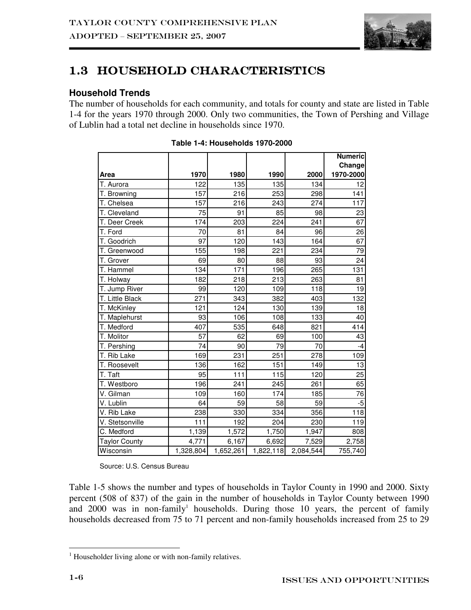

# 1.3 HOUSEHOLD CHARACTERISTICS

# **Household Trends**

The number of households for each community, and totals for county and state are listed in Table 1-4 for the years 1970 through 2000. Only two communities, the Town of Pershing and Village of Lublin had a total net decline in households since 1970.

|                      |           |           |           |           | <b>Numeric</b> |
|----------------------|-----------|-----------|-----------|-----------|----------------|
|                      |           |           |           |           | Change         |
| Area                 | 1970      | 1980      | 1990      | 2000      | 1970-2000      |
| T. Aurora            | 122       | 135       | 135       | 134       | 12             |
| T. Browning          | 157       | 216       | 253       | 298       | 141            |
| T. Chelsea           | 157       | 216       | 243       | 274       | 117            |
| T. Cleveland         | 75        | 91        | 85        | 98        | 23             |
| T. Deer Creek        | 174       | 203       | 224       | 241       | 67             |
| T. Ford              | 70        | 81        | 84        | 96        | 26             |
| T. Goodrich          | 97        | 120       | 143       | 164       | 67             |
| T. Greenwood         | 155       | 198       | 221       | 234       | 79             |
| T. Grover            | 69        | 80        | 88        | 93        | 24             |
| T. Hammel            | 134       | 171       | 196       | 265       | 131            |
| T. Holway            | 182       | 218       | 213       | 263       | 81             |
| T. Jump River        | 99        | 120       | 109       | 118       | 19             |
| T. Little Black      | 271       | 343       | 382       | 403       | 132            |
| T. McKinley          | 121       | 124       | 130       | 139       | 18             |
| T. Maplehurst        | 93        | 106       | 108       | 133       | 40             |
| T. Medford           | 407       | 535       | 648       | 821       | 414            |
| T. Molitor           | 57        | 62        | 69        | 100       | 43             |
| T. Pershing          | 74        | 90        | 79        | 70        | -4             |
| T. Rib Lake          | 169       | 231       | 251       | 278       | 109            |
| T. Roosevelt         | 136       | 162       | 151       | 149       | 13             |
| T. Taft              | 95        | 111       | 115       | 120       | 25             |
| T. Westboro          | 196       | 241       | 245       | 261       | 65             |
| V. Gilman            | 109       | 160       | 174       | 185       | 76             |
| V. Lublin            | 64        | 59        | 58        | 59        | $-5$           |
| V. Rib Lake          | 238       | 330       | 334       | 356       | 118            |
| V. Stetsonville      | 111       | 192       | 204       | 230       | 119            |
| C. Medford           | 1,139     | 1,572     | 1,750     | 1,947     | 808            |
| <b>Taylor County</b> | 4,771     | 6,167     | 6,692     | 7,529     | 2,758          |
| Wisconsin            | 1,328,804 | 1,652,261 | 1,822,118 | 2,084,544 | 755,740        |

#### **Table 1-4: Households 1970-2000**

Source: U.S. Census Bureau

Table 1-5 shows the number and types of households in Taylor County in 1990 and 2000. Sixty percent (508 of 837) of the gain in the number of households in Taylor County between 1990 and  $2000$  was in non-family<sup>1</sup> households. During those 10 years, the percent of family households decreased from 75 to 71 percent and non-family households increased from 25 to 29

 1 Householder living alone or with non-family relatives.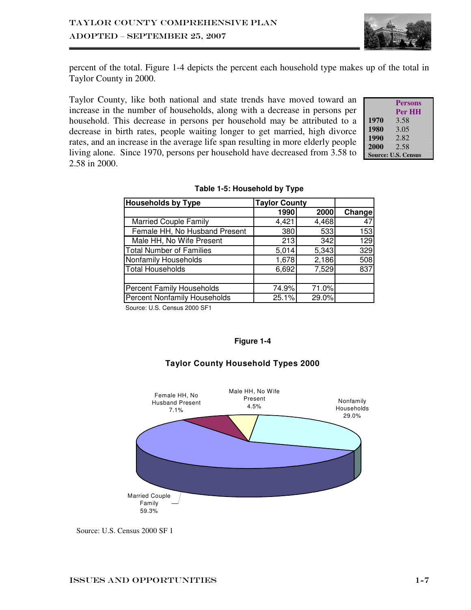

percent of the total. Figure 1-4 depicts the percent each household type makes up of the total in Taylor County in 2000.

Taylor County, like both national and state trends have moved toward an increase in the number of households, along with a decrease in persons per household. This decrease in persons per household may be attributed to a decrease in birth rates, people waiting longer to get married, high divorce rates, and an increase in the average life span resulting in more elderly people living alone. Since 1970, persons per household have decreased from 3.58 to 2.58 in 2000.

|      | <b>Persons</b>             |
|------|----------------------------|
|      | Per HH                     |
| 1970 | 3.58                       |
| 1980 | 3.05                       |
| 1990 | 2.82                       |
| 2000 | 2.58                       |
|      | <b>Source: U.S. Census</b> |

| <b>Households by Type</b>           | <b>Taylor County</b> |       |         |
|-------------------------------------|----------------------|-------|---------|
|                                     | 1990                 | 2000  | Change! |
| <b>Married Couple Family</b>        | 4,421                | 4,468 | 47      |
| Female HH, No Husband Present       | 380                  | 533   | 153     |
| Male HH, No Wife Present            | 213                  | 342   | 129     |
| <b>Total Number of Families</b>     | 5,014                | 5,343 | 329     |
| Nonfamily Households                | 1,678                | 2,186 | 508     |
| <b>Total Households</b>             | 6,692                | 7,529 | 837     |
|                                     |                      |       |         |
| <b>Percent Family Households</b>    | 74.9%                | 71.0% |         |
| <b>Percent Nonfamily Households</b> | 25.1%                | 29.0% |         |
| Course: LLC Consus 2000 CE1         |                      |       |         |

#### **Table 1-5: Household by Type**

Source: U.S. Census 2000 SF1

#### **Figure 1-4**



### **Taylor County Household Types 2000**

Source: U.S. Census 2000 SF 1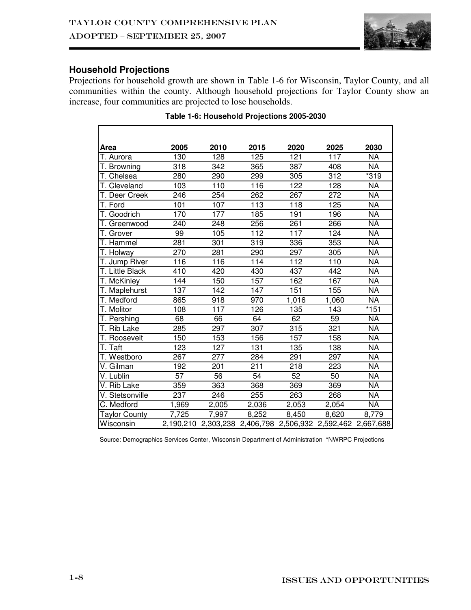# **Household Projections**

Projections for household growth are shown in Table 1-6 for Wisconsin, Taylor County, and all communities within the county. Although household projections for Taylor County show an increase, four communities are projected to lose households.

| Area                    | 2005             | 2010             | 2015                                                        | 2020             | 2025            | 2030                     |
|-------------------------|------------------|------------------|-------------------------------------------------------------|------------------|-----------------|--------------------------|
| T. Aurora               | 130              | 128              | 125                                                         | 121              | 117             | <b>NA</b>                |
| T. Browning             | 318              | 342              | 365                                                         | 387              | 408             | <b>NA</b>                |
| T. Chelsea              | 280              | 290              | 299                                                         | 305              | 312             | $*319$                   |
| T. Cleveland            | 103              | 110              | 116                                                         | 122              | 128             | <b>NA</b>                |
| T. Deer Creek           | 246              | 254              | 262                                                         | 267              | 272             | $\overline{\mathsf{NA}}$ |
| T. Ford                 | 101              | 107              | 113                                                         | 118              | 125             | <b>NA</b>                |
| T. Goodrich             | 170              | 177              | 185                                                         | 191              | 196             | <b>NA</b>                |
| T. Greenwood            | 240              | 248              | 256                                                         | 261              | 266             | $\overline{\mathsf{NA}}$ |
| T. Grover               | 99               | 105              | 112                                                         | 117              | 124             | <b>NA</b>                |
| T. Hammel               | 281              | 301              | 319                                                         | 336              | 353             | $\overline{\mathsf{NA}}$ |
| T. Holway               | 270              | 281              | 290                                                         | 297              | 305             | $\overline{\mathsf{NA}}$ |
| T. Jump River           | 116              | 116              | 114                                                         | $\overline{112}$ | 110             | <b>NA</b>                |
| T. Little Black         | $\overline{410}$ | 420              | 430                                                         | 437              | 442             | $\overline{\mathsf{NA}}$ |
| T. McKinley             | 144              | 150              | 157                                                         | 162              | 167             | <b>NA</b>                |
| T. Maplehurst           | 137              | 142              | 147                                                         | 151              | 155             | <b>NA</b>                |
| T. Medford              | 865              | 918              | 970                                                         | 1,016            | 1,060           | <b>NA</b>                |
| T. Molitor              | 108              | 117              | 126                                                         | 135              | 143             | $*151$                   |
| T. Pershing             | 68               | 66               | 64                                                          | 62               | 59              | <b>NA</b>                |
| T. Rib Lake             | 285              | 297              | 307                                                         | 315              | 321             | $\overline{\mathsf{NA}}$ |
| T. Roosevelt            | 150              | 153              | 156                                                         | 157              | 158             | <b>NA</b>                |
| T. Taft                 | $\overline{123}$ | 127              | $\overline{131}$                                            | 135              | 138             | $\overline{\mathsf{NA}}$ |
| T. Westboro             | 267              | $\overline{277}$ | 284                                                         | 291              | 297             | <b>NA</b>                |
| $\overline{V}$ . Gilman | 192              | 201              | 211                                                         | 218              | 223             | $\overline{\mathsf{NA}}$ |
| V. Lublin               | 57               | $\overline{56}$  | 54                                                          | 52               | $\overline{50}$ | <b>NA</b>                |
| V. Rib Lake             | 359              | 363              | 368                                                         | 369              | 369             | $\overline{NA}$          |
| V. Stetsonville         | 237              | 246              | 255                                                         | 263              | 268             | <b>NA</b>                |
| C. Medford              | 1,969            | 2,005            | 2,036                                                       | 2,053            | 2,054           | $\overline{\mathsf{NA}}$ |
| <b>Taylor County</b>    | 7,725            | 7,997            | 8,252                                                       | 8,450            | 8,620           | 8,779                    |
| Wisconsin               |                  |                  | 2,190,210 2,303,238 2,406,798 2,506,932 2,592,462 2,667,688 |                  |                 |                          |

#### **Table 1-6: Household Projections 2005-2030**

Source: Demographics Services Center, Wisconsin Department of Administration \*NWRPC Projections

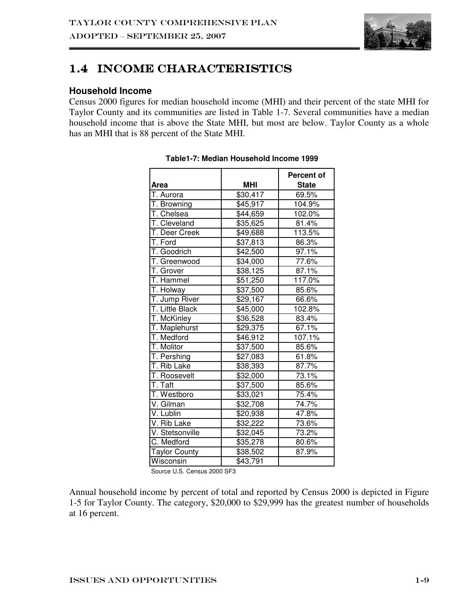

# 1.4 INCOME CHARACTERISTICS

## **Household Income**

Census 2000 figures for median household income (MHI) and their percent of the state MHI for Taylor County and its communities are listed in Table 1-7. Several communities have a median household income that is above the State MHI, but most are below. Taylor County as a whole has an MHI that is 88 percent of the State MHI.

|                      |                      | Percent of   |
|----------------------|----------------------|--------------|
| Area                 | <b>MHI</b>           | <b>State</b> |
| T. Aurora            | \$30,417             | 69.5%        |
| T. Browning          | $\overline{$}45,917$ | 104.9%       |
| T. Chelsea           | \$44,659             | 102.0%       |
| T. Cleveland         | \$35,625             | 81.4%        |
| T. Deer Creek        | \$49,688             | 113.5%       |
| T. Ford              | \$37,813             | 86.3%        |
| T. Goodrich          | \$42,500             | 97.1%        |
| T. Greenwood         | \$34,000             | 77.6%        |
| T. Grover            | \$38,125             | 87.1%        |
| T. Hammel            | \$51,250             | 117.0%       |
| T. Holway            | $\overline{$}37,500$ | 85.6%        |
| T. Jump River        | \$29,167             | 66.6%        |
| T. Little Black      | \$45,000             | 102.8%       |
| T. McKinley          | \$36,528             | 83.4%        |
| T. Maplehurst        | \$29,375             | 67.1%        |
| T. Medford           | \$46,912             | 107.1%       |
| T. Molitor           | \$37,500             | 85.6%        |
| T. Pershing          | \$27,083             | 61.8%        |
| T. Rib Lake          | \$38,393             | 87.7%        |
| T. Roosevelt         | \$32,000             | 73.1%        |
| T. Taft              | \$37,500             | 85.6%        |
| T. Westboro          | $\overline{$}33,021$ | 75.4%        |
| V. Gilman            | \$32,708             | 74.7%        |
| V. Lublin            | \$20,938             | 47.8%        |
| V. Rib Lake          | \$32,222             | 73.6%        |
| V. Stetsonville      | \$32,045             | 73.2%        |
| C. Medford           | \$35,278             | 80.6%        |
| <b>Taylor County</b> | \$38,502             | 87.9%        |
| Wisconsin            | \$43,791             |              |

|  | Table1-7: Median Household Income 1999 |  |
|--|----------------------------------------|--|
|  |                                        |  |

Source U.S. Census 2000 SF3

Annual household income by percent of total and reported by Census 2000 is depicted in Figure 1-5 for Taylor County. The category, \$20,000 to \$29,999 has the greatest number of households at 16 percent.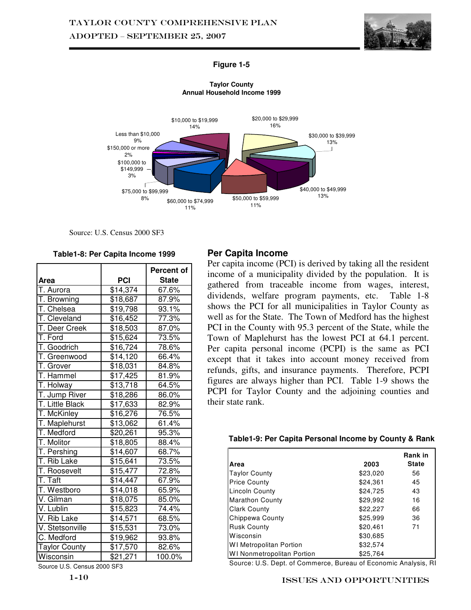

#### **Figure 1-5**



**Taylor County Annual Household Income 1999**

Source: U.S. Census 2000 SF3

**Table1-8: Per Capita Income 1999** 

|                      |          | Percent of   |
|----------------------|----------|--------------|
| Area                 | PCI      | <b>State</b> |
| T. Aurora            | \$14,374 | 67.6%        |
| T. Browning          | \$18,687 | 87.9%        |
| T. Chelsea           | \$19,798 | 93.1%        |
| T. Cleveland         | \$16,452 | 77.3%        |
| T. Deer Creek        | \$18,503 | 87.0%        |
| T. Ford              | \$15,624 | 73.5%        |
| T. Goodrich          | \$16,724 | 78.6%        |
| T. Greenwood         | \$14,120 | 66.4%        |
| T. Grover            | \$18,031 | 84.8%        |
| T. Hammel            | \$17,425 | 81.9%        |
| T. Holway            | \$13,718 | 64.5%        |
| T. Jump River        | \$18,286 | 86.0%        |
| T. Little Black      | \$17,633 | 82.9%        |
| T. McKinley          | \$16,276 | 76.5%        |
| T. Maplehurst        | \$13,062 | 61.4%        |
| T. Medford           | \$20,261 | 95.3%        |
| T. Molitor           | \$18,805 | 88.4%        |
| T. Pershing          | \$14,607 | 68.7%        |
| T. Rib Lake          | \$15,641 | 73.5%        |
| T. Roosevelt         | \$15,477 | 72.8%        |
| T. Taft              | \$14,447 | 67.9%        |
| T. Westboro          | \$14,018 | 65.9%        |
| V. Gilman            | \$18,075 | 85.0%        |
| V. Lublin            | \$15,823 | 74.4%        |
| V. Rib Lake          | \$14,571 | 68.5%        |
| V. Stetsonville      | \$15,531 | 73.0%        |
| C. Medford           | \$19,962 | 93.8%        |
| <b>Taylor County</b> | \$17,570 | 82.6%        |
| Wisconsin            | \$21,271 | 100.0%       |

Source U.S. Census 2000 SF3

### **Per Capita Income**

Per capita income (PCI) is derived by taking all the resident income of a municipality divided by the population. It is gathered from traceable income from wages, interest, dividends, welfare program payments, etc. Table 1-8 shows the PCI for all municipalities in Taylor County as well as for the State. The Town of Medford has the highest PCI in the County with 95.3 percent of the State, while the Town of Maplehurst has the lowest PCI at 64.1 percent. Per capita personal income (PCPI) is the same as PCI except that it takes into account money received from refunds, gifts, and insurance payments. Therefore, PCPI figures are always higher than PCI. Table 1-9 shows the PCPI for Taylor County and the adjoining counties and their state rank.

#### **Table1-9: Per Capita Personal Income by County & Rank**

|                                   |          | <b>Rank</b> in |
|-----------------------------------|----------|----------------|
| Area                              | 2003     | <b>State</b>   |
| <b>Taylor County</b>              | \$23,020 | 56             |
| <b>Price County</b>               | \$24,361 | 45             |
| <b>Lincoln County</b>             | \$24,725 | 43             |
| <b>Marathon County</b>            | \$29,992 | 16             |
| <b>Clark County</b>               | \$22,227 | 66             |
| Chippewa County                   | \$25.999 | 36             |
| <b>Rusk County</b>                | \$20,461 | 71             |
| Wisconsin                         | \$30,685 |                |
| <b>WI Metropolitan Portion</b>    | \$32.574 |                |
| <b>WI Nonmetropolitan Portion</b> | \$25,764 |                |

Source: U.S. Dept. of Commerce, Bureau of Economic Analysis, RI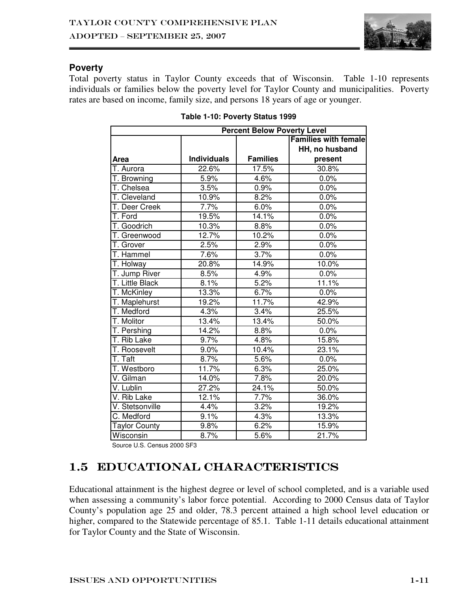

## **Poverty**

Total poverty status in Taylor County exceeds that of Wisconsin. Table 1-10 represents individuals or families below the poverty level for Taylor County and municipalities. Poverty rates are based on income, family size, and persons 18 years of age or younger.

| <b>Percent Below Poverty Level</b> |                    |                 |                             |  |
|------------------------------------|--------------------|-----------------|-----------------------------|--|
|                                    |                    |                 | <b>Families with female</b> |  |
|                                    |                    |                 | HH, no husband              |  |
| <b>Area</b>                        | <b>Individuals</b> | <b>Families</b> | present                     |  |
| T. Aurora                          | 22.6%              | 17.5%           | 30.8%                       |  |
| T. Browning                        | 5.9%               | 4.6%            | 0.0%                        |  |
| $\overline{T}$ . Chelsea           | 3.5%               | 0.9%            | 0.0%                        |  |
| T. Cleveland                       | 10.9%              | 8.2%            | 0.0%                        |  |
| T. Deer Creek                      | 7.7%               | 6.0%            | 0.0%                        |  |
| T. Ford                            | 19.5%              | 14.1%           | 0.0%                        |  |
| T. Goodrich                        | 10.3%              | 8.8%            | 0.0%                        |  |
| T. Greenwood                       | 12.7%              | 10.2%           | 0.0%                        |  |
| T. Grover                          | 2.5%               | 2.9%            | 0.0%                        |  |
| T. Hammel                          | 7.6%               | 3.7%            | 0.0%                        |  |
| T. Holway                          | 20.8%              | 14.9%           | 10.0%                       |  |
| T. Jump River                      | 8.5%               | 4.9%            | 0.0%                        |  |
| T. Little Black                    | 8.1%               | 5.2%            | 11.1%                       |  |
| T. McKinley                        | 13.3%              | 6.7%            | 0.0%                        |  |
| T. Maplehurst                      | 19.2%              | 11.7%           | 42.9%                       |  |
| T. Medford                         | 4.3%               | 3.4%            | 25.5%                       |  |
| T. Molitor                         | 13.4%              | 13.4%           | 50.0%                       |  |
| T. Pershing                        | 14.2%              | $8.8\%$         | 0.0%                        |  |
| T. Rib Lake                        | 9.7%               | 4.8%            | 15.8%                       |  |
| T. Roosevelt                       | 9.0%               | 10.4%           | 23.1%                       |  |
| T. Taft                            | 8.7%               | 5.6%            | 0.0%                        |  |
| T. Westboro                        | 11.7%              | 6.3%            | 25.0%                       |  |
| V. Gilman                          | 14.0%              | 7.8%            | 20.0%                       |  |
| V. Lublin                          | 27.2%              | 24.1%           | 50.0%                       |  |
| V. Rib Lake                        | 12.1%              | 7.7%            | 36.0%                       |  |
| V. Stetsonville                    | 4.4%               | 3.2%            | 19.2%                       |  |
| C. Medford                         | 9.1%               | 4.3%            | 13.3%                       |  |
| <b>Taylor County</b>               | 9.8%               | 6.2%            | 15.9%                       |  |
| Wisconsin                          | 8.7%               | 5.6%            | 21.7%                       |  |

Source U.S. Census 2000 SF3

# 1.5 Educational Characteristics

Educational attainment is the highest degree or level of school completed, and is a variable used when assessing a community's labor force potential. According to 2000 Census data of Taylor County's population age 25 and older, 78.3 percent attained a high school level education or higher, compared to the Statewide percentage of 85.1. Table 1-11 details educational attainment for Taylor County and the State of Wisconsin.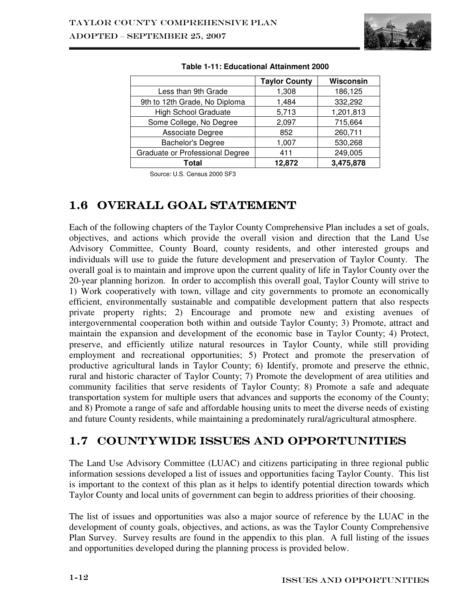

|                                 | <b>Taylor County</b> | Wisconsin |
|---------------------------------|----------------------|-----------|
| Less than 9th Grade             | 1,308                | 186,125   |
| 9th to 12th Grade, No Diploma   | 1,484                | 332,292   |
| <b>High School Graduate</b>     | 5,713                | 1,201,813 |
| Some College, No Degree         | 2,097                | 715,664   |
| Associate Degree                | 852                  | 260,711   |
| <b>Bachelor's Degree</b>        | 1,007                | 530,268   |
| Graduate or Professional Degree | 411                  | 249,005   |
| Total                           | 12,872               | 3,475,878 |

|  |  | Table 1-11: Educational Attainment 2000 |
|--|--|-----------------------------------------|
|--|--|-----------------------------------------|

Source: U.S. Census 2000 SF3

# 1.6 OVERALL GOAL STATEMENT

Each of the following chapters of the Taylor County Comprehensive Plan includes a set of goals, objectives, and actions which provide the overall vision and direction that the Land Use Advisory Committee, County Board, county residents, and other interested groups and individuals will use to guide the future development and preservation of Taylor County. The overall goal is to maintain and improve upon the current quality of life in Taylor County over the 20-year planning horizon. In order to accomplish this overall goal, Taylor County will strive to 1) Work cooperatively with town, village and city governments to promote an economically efficient, environmentally sustainable and compatible development pattern that also respects private property rights; 2) Encourage and promote new and existing avenues of intergovernmental cooperation both within and outside Taylor County; 3) Promote, attract and maintain the expansion and development of the economic base in Taylor County; 4) Protect, preserve, and efficiently utilize natural resources in Taylor County, while still providing employment and recreational opportunities; 5) Protect and promote the preservation of productive agricultural lands in Taylor County; 6) Identify, promote and preserve the ethnic, rural and historic character of Taylor County; 7) Promote the development of area utilities and community facilities that serve residents of Taylor County; 8) Promote a safe and adequate transportation system for multiple users that advances and supports the economy of the County; and 8) Promote a range of safe and affordable housing units to meet the diverse needs of existing and future County residents, while maintaining a predominately rural/agricultural atmosphere.

# 1.7 COUNTYWIDE ISSUES AND OPPORTUNITIES

The Land Use Advisory Committee (LUAC) and citizens participating in three regional public information sessions developed a list of issues and opportunities facing Taylor County. This list is important to the context of this plan as it helps to identify potential direction towards which Taylor County and local units of government can begin to address priorities of their choosing.

The list of issues and opportunities was also a major source of reference by the LUAC in the development of county goals, objectives, and actions, as was the Taylor County Comprehensive Plan Survey. Survey results are found in the appendix to this plan. A full listing of the issues and opportunities developed during the planning process is provided below.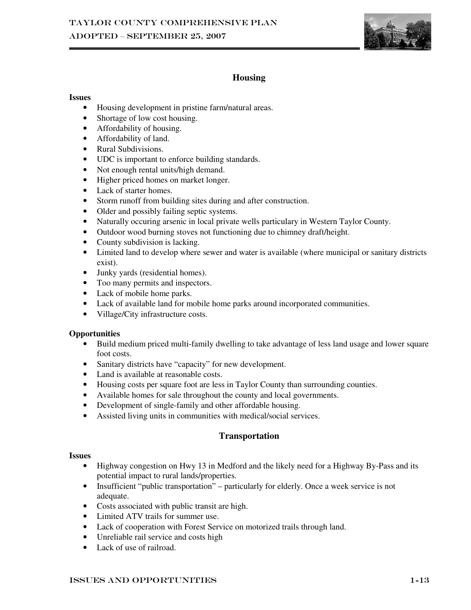

## **Housing**

#### **Issues**

- Housing development in pristine farm/natural areas.
- Shortage of low cost housing.
- Affordability of housing.
- Affordability of land.
- Rural Subdivisions.
- UDC is important to enforce building standards.
- Not enough rental units/high demand.
- Higher priced homes on market longer.
- Lack of starter homes.
- Storm runoff from building sites during and after construction.
- Older and possibly failing septic systems.
- Naturally occuring arsenic in local private wells particulary in Western Taylor County.
- Outdoor wood burning stoves not functioning due to chimney draft/height.
- County subdivision is lacking.
- Limited land to develop where sewer and water is available (where municipal or sanitary districts exist).
- Junky yards (residential homes).
- Too many permits and inspectors.
- Lack of mobile home parks.
- Lack of available land for mobile home parks around incorporated communities.
- Village/City infrastructure costs.

#### **Opportunities**

- Build medium priced multi-family dwelling to take advantage of less land usage and lower square foot costs.
- Sanitary districts have "capacity" for new development.
- Land is available at reasonable costs.
- Housing costs per square foot are less in Taylor County than surrounding counties.
- Available homes for sale throughout the county and local governments.
- Development of single-family and other affordable housing.
- Assisted living units in communities with medical/social services.

### **Transportation**

#### **Issues**

- Highway congestion on Hwy 13 in Medford and the likely need for a Highway By-Pass and its potential impact to rural lands/properties.
- Insufficient "public transportation" particularly for elderly. Once a week service is not adequate.
- Costs associated with public transit are high.
- Limited ATV trails for summer use.
- Lack of cooperation with Forest Service on motorized trails through land.
- Unreliable rail service and costs high
- Lack of use of railroad.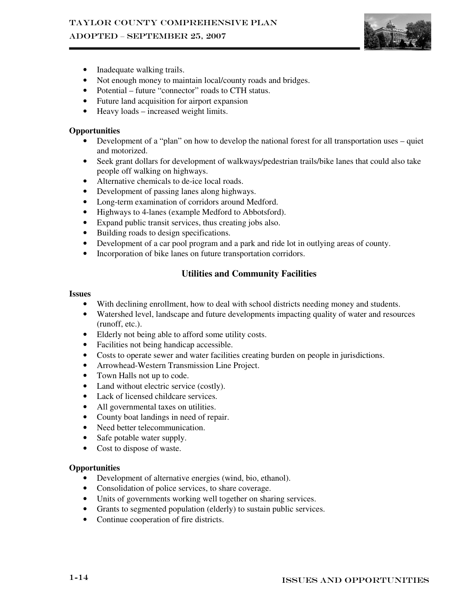# ADOPTED – SEPTEMBER 25, 2007



- Inadequate walking trails.
- Not enough money to maintain local/county roads and bridges.
- Potential future "connector" roads to CTH status.
- Future land acquisition for airport expansion
- Heavy loads increased weight limits.

#### **Opportunities**

- Development of a "plan" on how to develop the national forest for all transportation uses quiet and motorized.
- Seek grant dollars for development of walkways/pedestrian trails/bike lanes that could also take people off walking on highways.
- Alternative chemicals to de-ice local roads.
- Development of passing lanes along highways.
- Long-term examination of corridors around Medford.
- Highways to 4-lanes (example Medford to Abbotsford).
- Expand public transit services, thus creating jobs also.
- Building roads to design specifications.
- Development of a car pool program and a park and ride lot in outlying areas of county.
- Incorporation of bike lanes on future transportation corridors.

# **Utilities and Community Facilities**

#### **Issues**

- With declining enrollment, how to deal with school districts needing money and students.
- Watershed level, landscape and future developments impacting quality of water and resources (runoff, etc.).
- Elderly not being able to afford some utility costs.
- Facilities not being handicap accessible.
- Costs to operate sewer and water facilities creating burden on people in jurisdictions.
- Arrowhead-Western Transmission Line Project.
- Town Halls not up to code.
- Land without electric service (costly).
- Lack of licensed childcare services.
- All governmental taxes on utilities.
- County boat landings in need of repair.
- Need better telecommunication.
- Safe potable water supply.
- Cost to dispose of waste.

#### **Opportunities**

- Development of alternative energies (wind, bio, ethanol).
- Consolidation of police services, to share coverage.
- Units of governments working well together on sharing services.
- Grants to segmented population (elderly) to sustain public services.
- Continue cooperation of fire districts.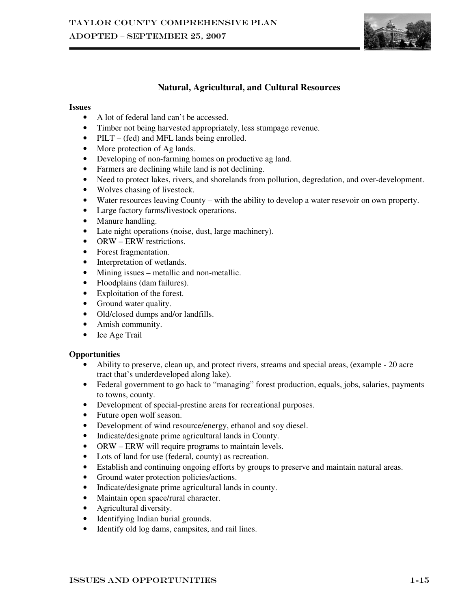

# **Natural, Agricultural, and Cultural Resources**

#### **Issues**

- A lot of federal land can't be accessed.
- Timber not being harvested appropriately, less stumpage revenue.
- PILT (fed) and MFL lands being enrolled.
- More protection of Ag lands.
- Developing of non-farming homes on productive ag land.
- Farmers are declining while land is not declining.
- Need to protect lakes, rivers, and shorelands from pollution, degredation, and over-development.
- Wolves chasing of livestock.
- Water resources leaving County with the ability to develop a water resevoir on own property.
- Large factory farms/livestock operations.
- Manure handling.
- Late night operations (noise, dust, large machinery).
- ORW ERW restrictions.
- Forest fragmentation.
- Interpretation of wetlands.
- Mining issues metallic and non-metallic.
- Floodplains (dam failures).
- Exploitation of the forest.
- Ground water quality.
- Old/closed dumps and/or landfills.
- Amish community.
- Ice Age Trail

#### **Opportunities**

- Ability to preserve, clean up, and protect rivers, streams and special areas, (example 20 acre tract that's underdeveloped along lake).
- Federal government to go back to "managing" forest production, equals, jobs, salaries, payments to towns, county.
- Development of special-prestine areas for recreational purposes.
- Future open wolf season.
- Development of wind resource/energy, ethanol and soy diesel.
- Indicate/designate prime agricultural lands in County.
- ORW ERW will require programs to maintain levels.
- Lots of land for use (federal, county) as recreation.
- Establish and continuing ongoing efforts by groups to preserve and maintain natural areas.
- Ground water protection policies/actions.
- Indicate/designate prime agricultural lands in county.
- Maintain open space/rural character.
- Agricultural diversity.
- Identifying Indian burial grounds.
- Identify old log dams, campsites, and rail lines.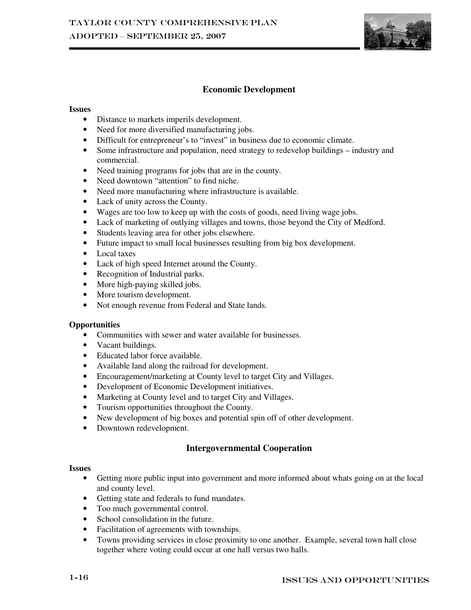

## **Economic Development**

#### **Issues**

- Distance to markets imperils development.
- Need for more diversified manufacturing jobs.
- Difficult for entrepreneur's to "invest" in business due to economic climate.
- Some infrastructure and population, need strategy to redevelop buildings industry and commercial.
- Need training programs for jobs that are in the county.
- Need downtown "attention" to find niche.
- Need more manufacturing where infrastructure is available.
- Lack of unity across the County.
- Wages are too low to keep up with the costs of goods, need living wage jobs.
- Lack of marketing of outlying villages and towns, those beyond the City of Medford.
- Students leaving area for other jobs elsewhere.
- Future impact to small local businesses resulting from big box development.
- Local taxes
- Lack of high speed Internet around the County.
- Recognition of Industrial parks.
- More high-paying skilled jobs.
- More tourism development.
- Not enough revenue from Federal and State lands.

#### **Opportunities**

- Communities with sewer and water available for businesses.
- Vacant buildings.
- Educated labor force available.
- Available land along the railroad for development.
- Encouragement/marketing at County level to target City and Villages.
- Development of Economic Development initiatives.
- Marketing at County level and to target City and Villages.
- Tourism opportunities throughout the County.
- New development of big boxes and potential spin off of other development.
- Downtown redevelopment.

### **Intergovernmental Cooperation**

#### **Issues**

- Getting more public input into government and more informed about whats going on at the local and county level.
- Getting state and federals to fund mandates.
- Too much governmental control.
- School consolidation in the future.
- Facilitation of agreements with townships.
- Towns providing services in close proximity to one another. Example, several town hall close together where voting could occur at one hall versus two halls.